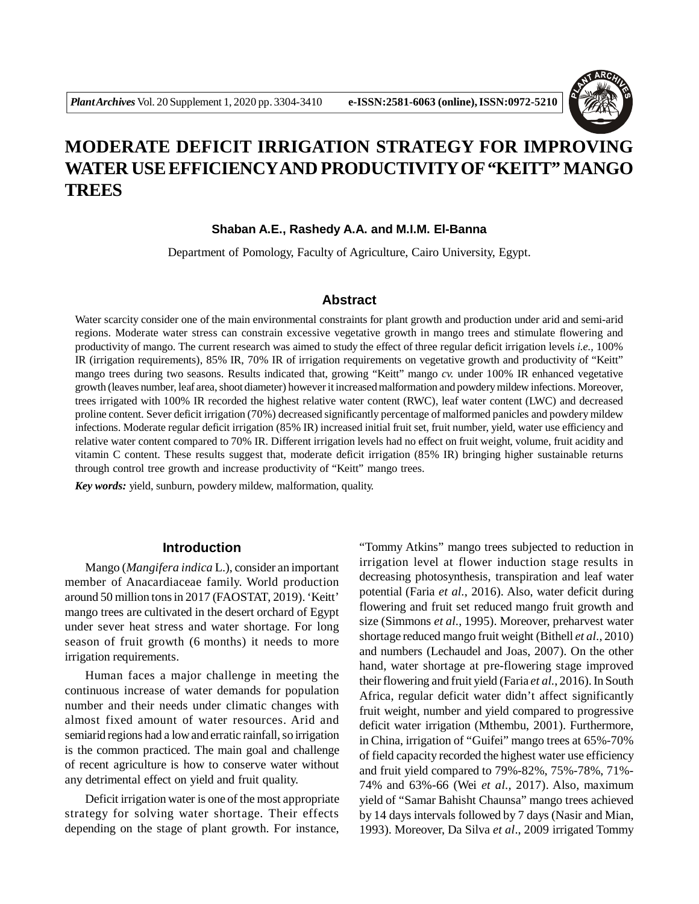

# **MODERATE DEFICIT IRRIGATION STRATEGY FOR IMPROVING WATER USE EFFICIENCYAND PRODUCTIVITY OF "KEITT" MANGO TREES**

### **Shaban A.E., Rashedy A.A. and M.I.M. El-Banna**

Department of Pomology, Faculty of Agriculture, Cairo University, Egypt.

## **Abstract**

Water scarcity consider one of the main environmental constraints for plant growth and production under arid and semi-arid regions. Moderate water stress can constrain excessive vegetative growth in mango trees and stimulate flowering and productivity of mango. The current research was aimed to study the effect of three regular deficit irrigation levels *i.e.,* 100% IR (irrigation requirements), 85% IR, 70% IR of irrigation requirements on vegetative growth and productivity of "Keitt" mango trees during two seasons. Results indicated that, growing "Keitt" mango *cv.* under 100% IR enhanced vegetative growth (leaves number, leaf area, shoot diameter) however it increased malformation and powdery mildew infections. Moreover, trees irrigated with 100% IR recorded the highest relative water content (RWC), leaf water content (LWC) and decreased proline content. Sever deficit irrigation (70%) decreased significantly percentage of malformed panicles and powdery mildew infections. Moderate regular deficit irrigation (85% IR) increased initial fruit set, fruit number, yield, water use efficiency and relative water content compared to 70% IR. Different irrigation levels had no effect on fruit weight, volume, fruit acidity and vitamin C content. These results suggest that, moderate deficit irrigation (85% IR) bringing higher sustainable returns through control tree growth and increase productivity of "Keitt" mango trees.

*Key words:* yield, sunburn, powdery mildew, malformation, quality.

### **Introduction**

Mango (*Mangifera indica* L.), consider an important member of Anacardiaceae family. World production around 50 million tons in 2017 (FAOSTAT, 2019). 'Keitt' mango trees are cultivated in the desert orchard of Egypt under sever heat stress and water shortage. For long season of fruit growth (6 months) it needs to more irrigation requirements.

Human faces a major challenge in meeting the continuous increase of water demands for population number and their needs under climatic changes with almost fixed amount of water resources. Arid and semiarid regions had a low and erratic rainfall, so irrigation is the common practiced. The main goal and challenge of recent agriculture is how to conserve water without any detrimental effect on yield and fruit quality.

Deficit irrigation water is one of the most appropriate strategy for solving water shortage. Their effects depending on the stage of plant growth. For instance, "Tommy Atkins" mango trees subjected to reduction in irrigation level at flower induction stage results in decreasing photosynthesis, transpiration and leaf water potential (Faria *et al.*, 2016). Also, water deficit during flowering and fruit set reduced mango fruit growth and size (Simmons *et al.*, 1995). Moreover, preharvest water shortage reduced mango fruit weight (Bithell *et al.*, 2010) and numbers (Lechaudel and Joas, 2007). On the other hand, water shortage at pre-flowering stage improved their flowering and fruit yield (Faria *et al.*, 2016). In South Africa, regular deficit water didn't affect significantly fruit weight, number and yield compared to progressive deficit water irrigation (Mthembu, 2001). Furthermore, in China, irrigation of "Guifei" mango trees at 65%-70% of field capacity recorded the highest water use efficiency and fruit yield compared to 79%-82%, 75%-78%, 71%- 74% and 63%-66 (Wei *et al.,* 2017). Also, maximum yield of "Samar Bahisht Chaunsa" mango trees achieved by 14 days intervals followed by 7 days (Nasir and Mian, 1993). Moreover, Da Silva *et al*., 2009 irrigated Tommy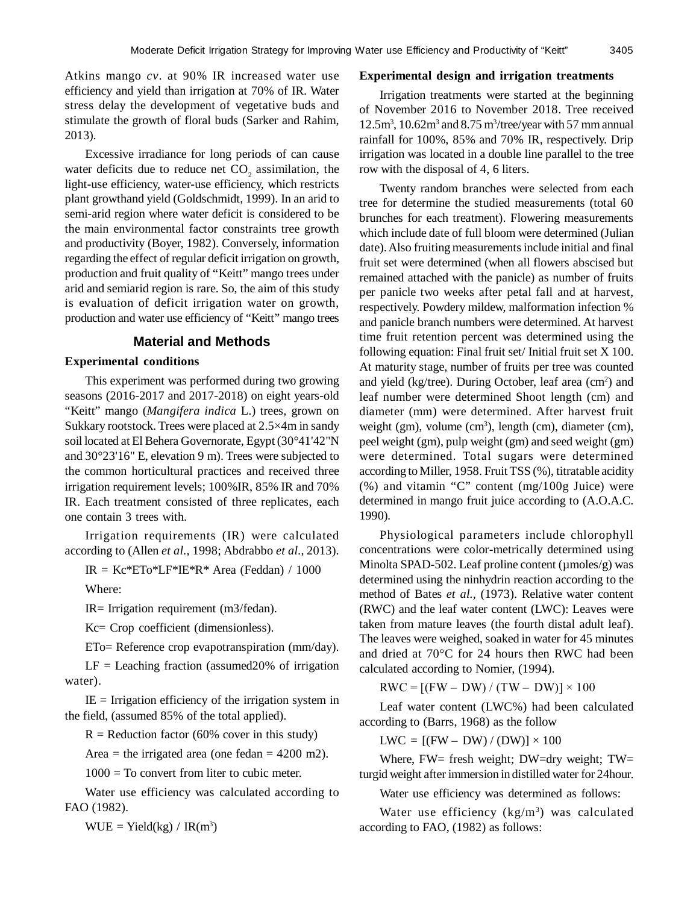Atkins mango *cv*. at 90% IR increased water use efficiency and yield than irrigation at 70% of IR. Water stress delay the development of vegetative buds and stimulate the growth of floral buds (Sarker and Rahim, 2013).

Excessive irradiance for long periods of can cause water deficits due to reduce net  $CO_2$  assimilation, the light-use efficiency, water-use efficiency, which restricts plant growthand yield (Goldschmidt, 1999). In an arid to semi-arid region where water deficit is considered to be the main environmental factor constraints tree growth and productivity (Boyer, 1982). Conversely, information regarding the effect of regular deficit irrigation on growth, production and fruit quality of "Keitt" mango trees under arid and semiarid region is rare. So, the aim of this study is evaluation of deficit irrigation water on growth, production and water use efficiency of "Keitt" mango trees

## **Material and Methods**

### **Experimental conditions**

This experiment was performed during two growing seasons (2016-2017 and 2017-2018) on eight years-old "Keitt" mango (*Mangifera indica* L.) trees, grown on Sukkary rootstock. Trees were placed at 2.5×4m in sandy soil located at El Behera Governorate, Egypt (30°41'42"N and 30°23'16" E, elevation 9 m). Trees were subjected to the common horticultural practices and received three irrigation requirement levels; 100%IR, 85% IR and 70% IR. Each treatment consisted of three replicates, each one contain 3 trees with.

Irrigation requirements (IR) were calculated according to (Allen *et al.,* 1998; Abdrabbo *et al.*, 2013).

IR =  $Kc*ETo*LF*IE*R* Area (Feddan) / 1000$ 

Where:

IR= Irrigation requirement (m3/fedan).

Kc= Crop coefficient (dimensionless).

ETo= Reference crop evapotranspiration (mm/day).

 $LF =$  Leaching fraction (assumed 20% of irrigation water).

 $IE = Irrigation efficiency of the irrigation system in$ the field, (assumed 85% of the total applied).

 $R =$  Reduction factor (60% cover in this study)

Area = the irrigated area (one fedan =  $4200$  m2).

 $1000 =$  To convert from liter to cubic meter.

Water use efficiency was calculated according to FAO (1982).

 $WUE = Yield(kg) / IR(m^3)$ 

#### **Experimental design and irrigation treatments**

Irrigation treatments were started at the beginning of November 2016 to November 2018. Tree received  $12.5m<sup>3</sup>$ ,  $10.62m<sup>3</sup>$  and  $8.75m<sup>3</sup>/tree/year$  with 57 mm annual rainfall for 100%, 85% and 70% IR, respectively. Drip irrigation was located in a double line parallel to the tree row with the disposal of 4, 6 liters.

Twenty random branches were selected from each tree for determine the studied measurements (total 60 brunches for each treatment). Flowering measurements which include date of full bloom were determined (Julian date). Also fruiting measurements include initial and final fruit set were determined (when all flowers abscised but remained attached with the panicle) as number of fruits per panicle two weeks after petal fall and at harvest, respectively. Powdery mildew, malformation infection % and panicle branch numbers were determined. At harvest time fruit retention percent was determined using the following equation: Final fruit set/ Initial fruit set X 100. At maturity stage, number of fruits per tree was counted and yield (kg/tree). During October, leaf area (cm<sup>2</sup>) and leaf number were determined Shoot length (cm) and diameter (mm) were determined. After harvest fruit weight (gm), volume (cm<sup>3</sup>), length (cm), diameter (cm), peel weight (gm), pulp weight (gm) and seed weight (gm) were determined. Total sugars were determined according to Miller, 1958. Fruit TSS (%), titratable acidity (%) and vitamin "C" content (mg/100g Juice) were determined in mango fruit juice according to (A.O.A.C. 1990).

Physiological parameters include chlorophyll concentrations were color-metrically determined using Minolta SPAD-502. Leaf proline content (µmoles/g) was determined using the ninhydrin reaction according to the method of Bates *et al.,* (1973). Relative water content (RWC) and the leaf water content (LWC): Leaves were taken from mature leaves (the fourth distal adult leaf). The leaves were weighed, soaked in water for 45 minutes and dried at 70°C for 24 hours then RWC had been calculated according to Nomier, (1994).

 $RWC = [(FW - DW) / (TW - DW)] \times 100$ 

Leaf water content (LWC%) had been calculated according to (Barrs, 1968) as the follow

 $LWC = [(FW - DW) / (DW)] \times 100$ 

Where, FW= fresh weight; DW=dry weight; TW= turgid weight after immersion in distilled water for 24hour.

Water use efficiency was determined as follows:

Water use efficiency (kg/m<sup>3</sup>) was calculated according to FAO, (1982) as follows: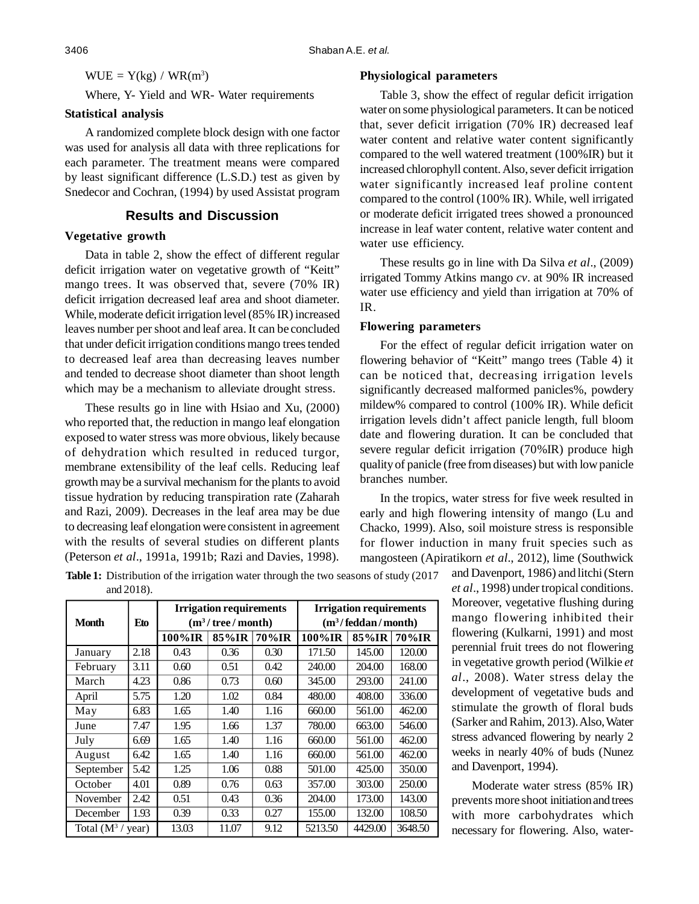$WUE = Y(kg) / WR(m<sup>3</sup>)$ 

Where, Y- Yield and WR- Water requirements

### **Statistical analysis**

A randomized complete block design with one factor was used for analysis all data with three replications for each parameter. The treatment means were compared by least significant difference (L.S.D.) test as given by Snedecor and Cochran, (1994) by used Assistat program

# **Results and Discussion**

### **Vegetative growth**

Data in table 2, show the effect of different regular deficit irrigation water on vegetative growth of "Keitt" mango trees. It was observed that, severe (70% IR) deficit irrigation decreased leaf area and shoot diameter. While, moderate deficit irrigation level (85% IR) increased leaves number per shoot and leaf area. It can be concluded that under deficit irrigation conditions mango trees tended to decreased leaf area than decreasing leaves number and tended to decrease shoot diameter than shoot length which may be a mechanism to alleviate drought stress.

These results go in line with Hsiao and Xu, (2000) who reported that, the reduction in mango leaf elongation exposed to water stress was more obvious, likely because of dehydration which resulted in reduced turgor, membrane extensibility of the leaf cells. Reducing leaf growth may be a survival mechanism for the plants to avoid tissue hydration by reducing transpiration rate (Zaharah and Razi, 2009). Decreases in the leaf area may be due to decreasing leaf elongation were consistent in agreement with the results of several studies on different plants (Peterson *et al*., 1991a, 1991b; Razi and Davies, 1998).

### **Physiological parameters**

Table 3, show the effect of regular deficit irrigation water on some physiological parameters. It can be noticed that, sever deficit irrigation (70% IR) decreased leaf water content and relative water content significantly compared to the well watered treatment (100%IR) but it increased chlorophyll content. Also, sever deficit irrigation water significantly increased leaf proline content compared to the control (100% IR). While, well irrigated or moderate deficit irrigated trees showed a pronounced increase in leaf water content, relative water content and water use efficiency.

These results go in line with Da Silva *et al*., (2009) irrigated Tommy Atkins mango *cv*. at 90% IR increased water use efficiency and yield than irrigation at 70% of IR.

# **Flowering parameters**

For the effect of regular deficit irrigation water on flowering behavior of "Keitt" mango trees (Table 4) it can be noticed that, decreasing irrigation levels significantly decreased malformed panicles%, powdery mildew% compared to control (100% IR). While deficit irrigation levels didn't affect panicle length, full bloom date and flowering duration. It can be concluded that severe regular deficit irrigation (70%IR) produce high quality of panicle (free from diseases) but with low panicle branches number.

In the tropics, water stress for five week resulted in early and high flowering intensity of mango (Lu and Chacko, 1999). Also, soil moisture stress is responsible for flower induction in many fruit species such as mangosteen (Apiratikorn *et al*., 2012), lime (Southwick

**Table 1:** Distribution of the irrigation water through the two seasons of study (2017 and 2018).

| <b>Month</b>                | Eto  | <b>Irrigation requirements</b><br>$(m^3/\text{tree}/\text{month})$ |       |       | <b>Irrigation requirements</b><br>$(m^3/\text{feddan}/\text{month})$ |         |         |
|-----------------------------|------|--------------------------------------------------------------------|-------|-------|----------------------------------------------------------------------|---------|---------|
|                             |      | 100%IR                                                             | 85%IR | 70%IR | 100%IR                                                               | 85%IR   | 70%IR   |
| January                     | 2.18 | 0.43                                                               | 0.36  | 0.30  | 171.50                                                               | 145.00  | 120.00  |
| February                    | 3.11 | 0.60                                                               | 0.51  | 0.42  | 240.00                                                               | 204.00  | 168.00  |
| March                       | 4.23 | 0.86                                                               | 0.73  | 0.60  | 345.00                                                               | 293.00  | 241.00  |
| April                       | 5.75 | 1.20                                                               | 1.02  | 0.84  | 480.00                                                               | 408.00  | 336.00  |
| May                         | 6.83 | 1.65                                                               | 1.40  | 1.16  | 660.00                                                               | 561.00  | 462.00  |
| June                        | 7.47 | 1.95                                                               | 1.66  | 1.37  | 780.00                                                               | 663.00  | 546.00  |
| July                        | 6.69 | 1.65                                                               | 1.40  | 1.16  | 660.00                                                               | 561.00  | 462.00  |
| August                      | 6.42 | 1.65                                                               | 1.40  | 1.16  | 660.00                                                               | 561.00  | 462.00  |
| September                   | 5.42 | 1.25                                                               | 1.06  | 0.88  | 501.00                                                               | 425.00  | 350.00  |
| October                     | 4.01 | 0.89                                                               | 0.76  | 0.63  | 357.00                                                               | 303.00  | 250.00  |
| November                    | 2.42 | 0.51                                                               | 0.43  | 0.36  | 204.00                                                               | 173.00  | 143.00  |
| December                    | 1.93 | 0.39                                                               | 0.33  | 0.27  | 155.00                                                               | 132.00  | 108.50  |
| Total $(M^3 / \text{year})$ |      | 13.03                                                              | 11.07 | 9.12  | 5213.50                                                              | 4429.00 | 3648.50 |

and Davenport, 1986) and litchi (Stern *et al*., 1998) under tropical conditions. Moreover, vegetative flushing during mango flowering inhibited their flowering (Kulkarni, 1991) and most perennial fruit trees do not flowering in vegetative growth period (Wilkie *et al*., 2008). Water stress delay the development of vegetative buds and stimulate the growth of floral buds (Sarker and Rahim, 2013). Also, Water stress advanced flowering by nearly 2 weeks in nearly 40% of buds (Nunez and Davenport, 1994).

Moderate water stress (85% IR) prevents more shoot initiation and trees with more carbohydrates which necessary for flowering. Also, water-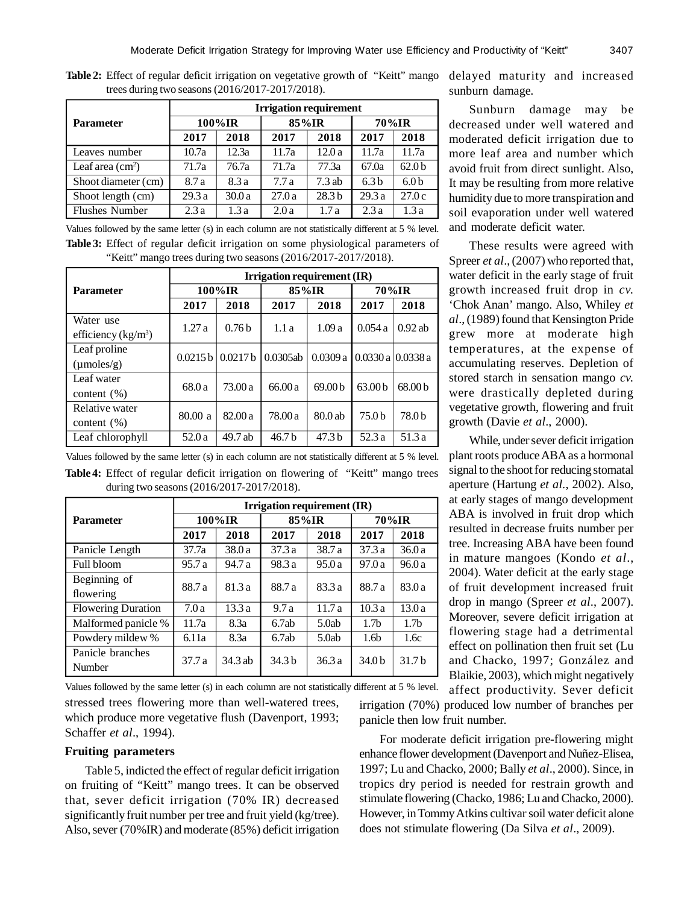|                           | <b>Irrigation requirement</b> |       |       |                   |                  |                   |  |  |
|---------------------------|-------------------------------|-------|-------|-------------------|------------------|-------------------|--|--|
| <b>Parameter</b>          | $100\%$ IR                    |       | 85%IR |                   | 70%IR            |                   |  |  |
|                           | 2017                          | 2018  | 2017  | 2018              | 2017             | 2018              |  |  |
| Leaves number             | 10.7a                         | 12.3a | 11.7a | 12.0a             | 11.7a            | 11.7a             |  |  |
| Leaf area $\text{cm}^2$ ) | 71.7a                         | 76.7a | 71.7a | 77.3a             | 67.0a            | 62.0 <sub>b</sub> |  |  |
| Shoot diameter (cm)       | 8.7 a                         | 8.3 a | 7.7a  | $7.3$ ab          | 6.3 <sub>b</sub> | 6.0 <sub>b</sub>  |  |  |
| Shoot length (cm)         | 29.3a                         | 30.0a | 27.0a | 28.3 <sub>b</sub> | 29.3a            | 27.0c             |  |  |
| <b>Flushes Number</b>     | 2.3a                          | 1.3a  | 2.0a  | 1.7a              | 2.3a             | 1.3a              |  |  |

Table 2: Effect of regular deficit irrigation on vegetative growth of "Keitt" mango delayed maturity and increased trees during two seasons (2016/2017-2017/2018).

Values followed by the same letter (s) in each column are not statistically different at 5 % level. **Table 3:** Effect of regular deficit irrigation on some physiological parameters of "Keitt" mango trees during two seasons (2016/2017-2017/2018).

|                        | <b>Irrigation requirement (IR)</b> |                          |                   |                    |                    |                    |  |
|------------------------|------------------------------------|--------------------------|-------------------|--------------------|--------------------|--------------------|--|
| <b>Parameter</b>       | 100%IR                             |                          | 85%IR             |                    | 70%IR              |                    |  |
|                        | 2017                               | 2018                     | 2017              | 2018               | 2017               | 2018               |  |
| Water use              |                                    |                          |                   |                    |                    |                    |  |
| efficiency $(kg/m^3)$  | 1.27a                              | 0.76 <sub>b</sub>        | 1.1a              | 1.09a              | 0.054a             | $0.92$ ab          |  |
| Leaf proline           |                                    |                          | 0.0305ab          | 0.0309a            |                    |                    |  |
| $(\mu \text{moles/g})$ |                                    | $0.0215 b \mid 0.0217 b$ |                   |                    |                    | 0.0330 a 10.0338 a |  |
| Leaf water             | 68.0a                              | 73.00a                   | 66.00a            | 69.00 <sub>b</sub> | 63.00 <sub>b</sub> | 68.00 <sub>b</sub> |  |
| content $(\%)$         |                                    |                          |                   |                    |                    |                    |  |
| Relative water         | 80.00 a                            | 82.00a                   | 78.00 a           | 80.0ab             | 75.0 b             | 78.0 b             |  |
| content $(\%)$         |                                    |                          |                   |                    |                    |                    |  |
| Leaf chlorophyll       | 52.0 a                             | 49.7 ab                  | 46.7 <sub>b</sub> | 47.3 <sub>b</sub>  | 52.3 a             | 51.3 a             |  |

Values followed by the same letter (s) in each column are not statistically different at 5 % level. **Table 4:** Effect of regular deficit irrigation on flowering of "Keitt" mango trees during two seasons (2016/2017-2017/2018).

|                            | Irrigation requirement (IR) |         |        |        |                   |                   |  |
|----------------------------|-----------------------------|---------|--------|--------|-------------------|-------------------|--|
| <b>Parameter</b>           | 100%IR                      |         | 85%IR  |        | 70%IR             |                   |  |
|                            | 2017                        | 2018    | 2017   | 2018   | 2017              | 2018              |  |
| Panicle Length             | 37.7a                       | 38.0 a  | 37.3a  | 38.7 a | 37.3a             | 36.0a             |  |
| Full bloom                 | 95.7 a                      | 94.7 a  | 98.3 a | 95.0a  | 97.0a             | 96.0a             |  |
| Beginning of               | 88.7 a                      |         | 88.7 a | 83.3a  | 88.7 a            | 83.0a             |  |
| flowering                  |                             | 81.3 a  |        |        |                   |                   |  |
| <b>Flowering Duration</b>  | 7.0a                        | 13.3a   | 9.7a   | 11.7a  | 10.3a             | 13.0a             |  |
| Malformed panicle %        | 11.7a                       | 8.3a    | 6.7ab  | 5.0ab  | 1.7 <sub>b</sub>  | 1.7 <sub>b</sub>  |  |
| Powdery mildew %           | 6.11a                       | 8.3a    | 6.7ab  | 5.0ab  | 1.6 <sub>b</sub>  | 1.6c              |  |
| Panicle branches<br>Number | 37.7a                       | 34.3 ab | 34.3 b | 36.3 a | 34.0 <sub>b</sub> | 31.7 <sub>b</sub> |  |

Values followed by the same letter (s) in each column are not statistically different at 5 % level.

stressed trees flowering more than well-watered trees, which produce more vegetative flush (Davenport, 1993; Schaffer *et al*., 1994).

### **Fruiting parameters**

Table 5, indicted the effect of regular deficit irrigation on fruiting of "Keitt" mango trees. It can be observed that, sever deficit irrigation (70% IR) decreased significantly fruit number per tree and fruit yield (kg/tree). Also, sever (70%IR) and moderate (85%) deficit irrigation sunburn damage.

Sunburn damage may be decreased under well watered and moderated deficit irrigation due to more leaf area and number which avoid fruit from direct sunlight. Also, It may be resulting from more relative humidity due to more transpiration and soil evaporation under well watered and moderate deficit water.

These results were agreed with Spreer *et al.*, (2007) who reported that, water deficit in the early stage of fruit growth increased fruit drop in *cv.* 'Chok Anan' mango. Also, Whiley *et al*., (1989) found that Kensington Pride grew more at moderate high temperatures, at the expense of accumulating reserves. Depletion of stored starch in sensation mango *cv.* were drastically depleted during vegetative growth, flowering and fruit growth (Davie *et al*., 2000).

While, under sever deficit irrigation plant roots produce ABA as a hormonal signal to the shoot for reducing stomatal aperture (Hartung *et al.*, 2002). Also, at early stages of mango development ABA is involved in fruit drop which resulted in decrease fruits number per tree. Increasing ABA have been found in mature mangoes (Kondo *et al*., 2004). Water deficit at the early stage of fruit development increased fruit drop in mango (Spreer *et al*., 2007). Moreover, severe deficit irrigation at flowering stage had a detrimental effect on pollination then fruit set (Lu and Chacko, 1997; González and Blaikie, 2003), which might negatively affect productivity. Sever deficit

irrigation (70%) produced low number of branches per panicle then low fruit number.

For moderate deficit irrigation pre-flowering might enhance flower development (Davenport and Nuñez-Elisea, 1997; Lu and Chacko, 2000; Bally *et al*., 2000). Since, in tropics dry period is needed for restrain growth and stimulate flowering (Chacko, 1986; Lu and Chacko, 2000). However, in Tommy Atkins cultivar soil water deficit alone does not stimulate flowering (Da Silva *et al*., 2009).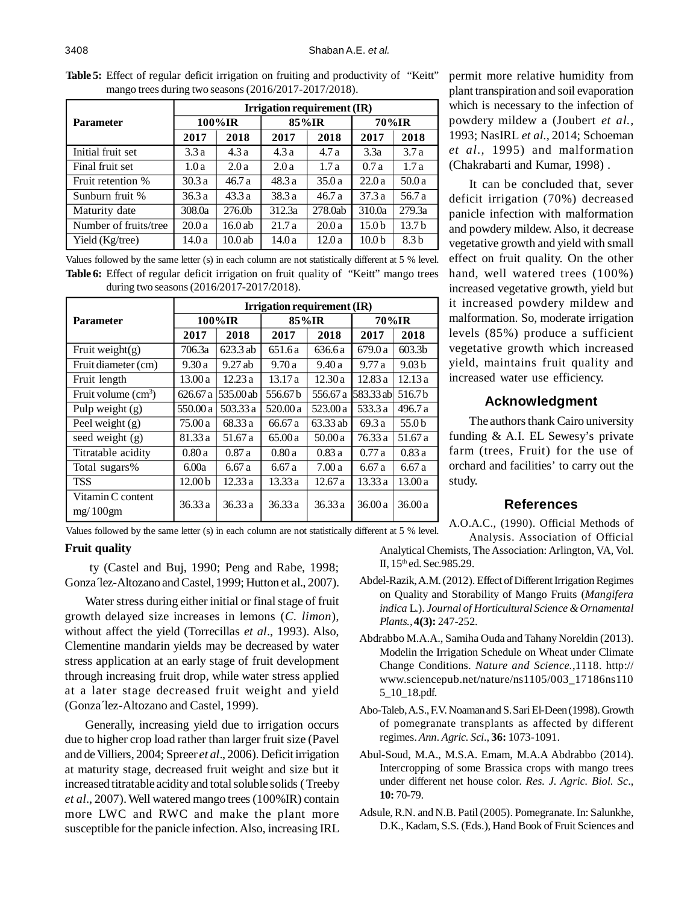|                                                          |  | <b>Table 5:</b> Effect of regular deficit irrigation on fruiting and productivity of "Keitt" |  |
|----------------------------------------------------------|--|----------------------------------------------------------------------------------------------|--|
| mango trees during two seasons $(2016/2017-2017/2018)$ . |  |                                                                                              |  |

|                       | Irrigation requirement (IR) |                    |        |         |                   |                   |  |  |
|-----------------------|-----------------------------|--------------------|--------|---------|-------------------|-------------------|--|--|
| <b>Parameter</b>      | 100%IR                      |                    | 85%IR  |         | 70%IR             |                   |  |  |
|                       | 2017                        | 2018               | 2017   | 2018    | 2017              | 2018              |  |  |
| Initial fruit set     | 3.3a                        | 4.3a               | 4.3a   | 4.7a    | 3.3a              | 3.7a              |  |  |
| Final fruit set       | 1.0a                        | 2.0a               | 2.0a   | 1.7a    | 0.7a              | 1.7a              |  |  |
| Fruit retention %     | 30.3a                       | 46.7 a             | 48.3a  | 35.0a   | 22.0a             | 50.0 a            |  |  |
| Sunburn fruit %       | 36.3a                       | 43.3a              | 38.3a  | 46.7a   | 37.3a             | 56.7 a            |  |  |
| Maturity date         | 308.0a                      | 276.0 <sub>b</sub> | 312.3a | 278.0ab | 310.0a            | 279.3a            |  |  |
| Number of fruits/tree | 20.0a                       | 16.0ab             | 21.7a  | 20.0a   | 15.0 <sub>b</sub> | 13.7 <sub>b</sub> |  |  |
| Yield (Kg/tree)       | 14.0a                       | 10.0ab             | 14.0a  | 12.0a   | 10.0 <sub>b</sub> | 8.3 <sub>b</sub>  |  |  |

Values followed by the same letter (s) in each column are not statistically different at 5 % level. **Table 6:** Effect of regular deficit irrigation on fruit quality of "Keitt" mango trees during two seasons (2016/2017-2017/2018).

|                               | Irrigation requirement (IR) |           |          |          |               |                    |  |  |
|-------------------------------|-----------------------------|-----------|----------|----------|---------------|--------------------|--|--|
| <b>Parameter</b>              | 100%IR                      |           | 85%IR    |          | 70%IR         |                    |  |  |
|                               | 2017                        | 2018      | 2017     | 2018     | 2017          | 2018               |  |  |
| Fruit weight $(g)$            | 706.3a                      | 623.3 ab  | 651.6 a  | 636.6 a  | 679.0a        | 603.3 <sub>b</sub> |  |  |
| Fruit diameter (cm)           | 9.30a                       | $9.27$ ab | 9.70a    | 9.40a    | 9.77a         | 9.03 <sub>b</sub>  |  |  |
| Fruit length                  | 13.00a                      | 12.23a    | 13.17a   | 12.30a   | 12.83a        | 12.13a             |  |  |
| Fruit volume $(cm3)$          | 626.67 a                    | 535.00 ab | 556.67b  | 556.67 a | $1583.33$ abl | 516.7b             |  |  |
| Pulp weight $(g)$             | 550.00 a                    | 503.33 a  | 520.00 a | 523.00 a | 533.3 a       | 496.7 a            |  |  |
| Peel weight $(g)$             | 75.00 a                     | 68.33 a   | 66.67 a  | 63.33 ab | 69.3 a        | 55.0 b             |  |  |
| seed weight $(g)$             | 81.33 a                     | 51.67 a   | 65.00a   | 50.00a   | 76.33 a       | 51.67 a            |  |  |
| Titratable acidity            | 0.80a                       | 0.87a     | 0.80a    | 0.83a    | 0.77a         | 0.83a              |  |  |
| Total sugars%                 | 6.00a                       | 6.67a     | 6.67a    | 7.00a    | 6.67a         | 6.67a              |  |  |
| <b>TSS</b>                    | 12.00 <sub>b</sub>          | 12.33 a   | 13.33 a  | 12.67 a  | 13.33 a       | 13.00a             |  |  |
| Vitamin C content<br>mg/100gm | 36.33a                      | 36.33a    | 36.33a   | 36.33a   | 36.00a        | 36.00a             |  |  |

Values followed by the same letter (s) in each column are not statistically different at 5 % level.

#### **Fruit quality**

ty (Castel and Buj, 1990; Peng and Rabe, 1998; Gonza´lez-Altozano and Castel, 1999; Hutton et al., 2007).

Water stress during either initial or final stage of fruit growth delayed size increases in lemons (*C. limon*), without affect the yield (Torrecillas *et al*., 1993). Also, Clementine mandarin yields may be decreased by water stress application at an early stage of fruit development through increasing fruit drop, while water stress applied at a later stage decreased fruit weight and yield (Gonza´lez-Altozano and Castel, 1999).

Generally, increasing yield due to irrigation occurs due to higher crop load rather than larger fruit size (Pavel and de Villiers, 2004; Spreer *et al*., 2006). Deficit irrigation at maturity stage, decreased fruit weight and size but it increased titratable acidity and total soluble solids ( Treeby *et al*., 2007). Well watered mango trees (100%IR) contain more LWC and RWC and make the plant more susceptible for the panicle infection. Also, increasing IRL

permit more relative humidity from plant transpiration and soil evaporation which is necessary to the infection of powdery mildew a (Joubert *et al.,* 1993; NasIRL *et al.,* 2014; Schoeman *et al.,* 1995) and malformation (Chakrabarti and Kumar, 1998) .

It can be concluded that, sever deficit irrigation (70%) decreased panicle infection with malformation and powdery mildew. Also, it decrease vegetative growth and yield with small effect on fruit quality. On the other hand, well watered trees (100%) increased vegetative growth, yield but it increased powdery mildew and malformation. So, moderate irrigation levels (85%) produce a sufficient vegetative growth which increased yield, maintains fruit quality and increased water use efficiency.

# **Acknowledgment**

The authors thank Cairo university funding & A.I. EL Sewesy's private farm (trees, Fruit) for the use of orchard and facilities' to carry out the study.

### **References**

A.O.A.C., (1990). Official Methods of Analysis. Association of Official

Analytical Chemists, The Association: Arlington, VA, Vol. II, 15<sup>th</sup> ed. Sec.985.29.

- Abdel-Razik, A.M. (2012). Effect of Different Irrigation Regimes on Quality and Storability of Mango Fruits (*Mangifera indica* L.). *Journal of Horticultural Science & Ornamental Plants.,* **4(3):** 247-252.
- Abdrabbo M.A.A., Samiha Ouda and Tahany Noreldin (2013). Modelin the Irrigation Schedule on Wheat under Climate Change Conditions. *Nature and Science.*,1118. http:// www.sciencepub.net/nature/ns1105/003\_17186ns110 5\_10\_18.pdf.
- Abo-Taleb, A.S., F.V. Noaman and S. Sari El-Deen (1998). Growth of pomegranate transplants as affected by different regimes. *Ann. Agric. Sci*., **36:** 1073-1091.
- Abul-Soud, M.A., M.S.A. Emam, M.A.A Abdrabbo (2014). Intercropping of some Brassica crops with mango trees under different net house color. *Res. J. Agric. Biol. Sc*., **10:** 70-79.
- Adsule, R.N. and N.B. Patil (2005). Pomegranate. In: Salunkhe, D.K., Kadam, S.S. (Eds.), Hand Book of Fruit Sciences and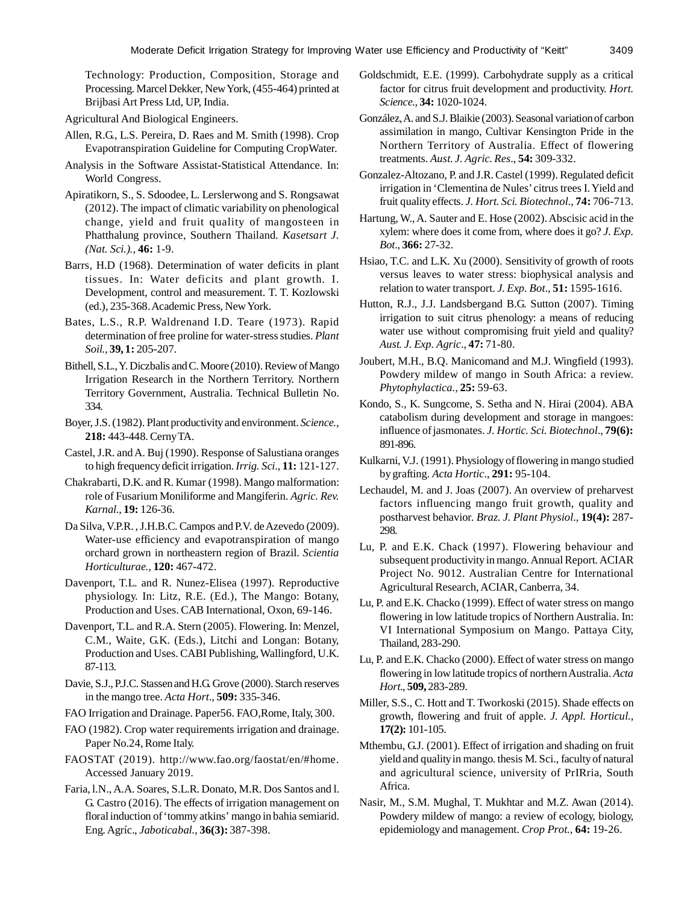Technology: Production, Composition, Storage and Processing. Marcel Dekker, New York, (455-464) printed at Brijbasi Art Press Ltd, UP, India.

Agricultural And Biological Engineers.

- Allen, R.G., L.S. Pereira, D. Raes and M. Smith (1998). Crop Evapotranspiration Guideline for Computing CropWater.
- Analysis in the Software Assistat-Statistical Attendance. In: World Congress.
- Apiratikorn, S., S. Sdoodee, L. Lerslerwong and S. Rongsawat (2012). The impact of climatic variability on phenological change, yield and fruit quality of mangosteen in Phatthalung province, Southern Thailand. *Kasetsart J. (Nat. Sci.).,* **46:** 1-9.
- Barrs, H.D (1968). Determination of water deficits in plant tissues. In: Water deficits and plant growth. I. Development, control and measurement. T. T. Kozlowski (ed.), 235-368. Academic Press, New York.
- Bates, L.S., R.P. Waldrenand I.D. Teare (1973). Rapid determination of free proline for water-stress studies. *Plant Soil.,* **39, 1:** 205-207.
- Bithell, S.L., Y. Diczbalis and C. Moore (2010). Review of Mango Irrigation Research in the Northern Territory. Northern Territory Government, Australia. Technical Bulletin No. 334.
- Boyer, J.S. (1982). Plant productivity and environment. *Science.,* **218:** 443-448. Cerny TA.
- Castel, J.R. and A. Buj (1990). Response of Salustiana oranges to high frequency deficit irrigation. *Irrig. Sci*., **11:** 121-127.
- Chakrabarti, D.K. and R. Kumar (1998). Mango malformation: role of Fusarium Moniliforme and Mangiferin. *Agric. Rev. Karnal.*, **19:** 126-36.
- Da Silva, V.P.R. , J.H.B.C. Campos and P.V. de Azevedo (2009). Water-use efficiency and evapotranspiration of mango orchard grown in northeastern region of Brazil. *Scientia Horticulturae.*, **120:** 467-472.
- Davenport, T.L. and R. Nunez-Elisea (1997). Reproductive physiology. In: Litz, R.E. (Ed.), The Mango: Botany, Production and Uses. CAB International, Oxon, 69-146.
- Davenport, T.L. and R.A. Stern (2005). Flowering. In: Menzel, C.M., Waite, G.K. (Eds.), Litchi and Longan: Botany, Production and Uses. CABI Publishing, Wallingford, U.K. 87-113.
- Davie, S.J., P.J.C. Stassen and H.G. Grove (2000). Starch reserves in the mango tree. *Acta Hort*., **509:** 335-346.
- FAO Irrigation and Drainage. Paper56. FAO,Rome, Italy, 300.
- FAO (1982). Crop water requirements irrigation and drainage. Paper No.24, Rome Italy.
- FAOSTAT (2019). http://www.fao.org/faostat/en/#home. Accessed January 2019.
- Faria, l.N., A.A. Soares, S.L.R. Donato, M.R. Dos Santos and l. G. Castro (2016). The effects of irrigation management on floral induction of 'tommy atkins' mango in bahia semiarid. Eng. Agríc., *Jaboticabal.*, **36(3):** 387-398.
- Goldschmidt, E.E. (1999). Carbohydrate supply as a critical factor for citrus fruit development and productivity. *Hort. Science.,* **34:** 1020-1024.
- González, A. and S.J. Blaikie (2003). Seasonal variation of carbon assimilation in mango, Cultivar Kensington Pride in the Northern Territory of Australia. Effect of flowering treatments. *Aust. J. Agric. Res*., **54:** 309-332.
- Gonzalez-Altozano, P. and J.R. Castel (1999). Regulated deficit irrigation in 'Clementina de Nules' citrus trees I. Yield and fruit quality effects. *J. Hort. Sci. Biotechnol*., **74:** 706-713.
- Hartung, W., A. Sauter and E. Hose (2002). Abscisic acid in the xylem: where does it come from, where does it go? *J. Exp. Bot*., **366:** 27-32.
- Hsiao, T.C. and L.K. Xu (2000). Sensitivity of growth of roots versus leaves to water stress: biophysical analysis and relation to water transport. *J. Exp. Bot*., **51:** 1595-1616.
- Hutton, R.J., J.J. Landsbergand B.G. Sutton (2007). Timing irrigation to suit citrus phenology: a means of reducing water use without compromising fruit yield and quality? *Aust. J. Exp. Agric*., **47:** 71-80.
- Joubert, M.H., B.Q. Manicomand and M.J. Wingfield (1993). Powdery mildew of mango in South Africa: a review. *Phytophylactica.,* **25:** 59-63.
- Kondo, S., K. Sungcome, S. Setha and N. Hirai (2004). ABA catabolism during development and storage in mangoes: influence of jasmonates. *J. Hortic. Sci. Biotechnol*., **79(6):** 891-896.
- Kulkarni, V.J. (1991). Physiology of flowering in mango studied by grafting. *Acta Hortic*., **291:** 95-104.
- Lechaudel, M. and J. Joas (2007). An overview of preharvest factors influencing mango fruit growth, quality and postharvest behavior. *Braz. J. Plant Physiol*., **19(4):** 287- 298.
- Lu, P. and E.K. Chack (1997). Flowering behaviour and subsequent productivity in mango. Annual Report. ACIAR Project No. 9012. Australian Centre for International Agricultural Research, ACIAR, Canberra, 34.
- Lu, P. and E.K. Chacko (1999). Effect of water stress on mango flowering in low latitude tropics of Northern Australia. In: VI International Symposium on Mango. Pattaya City, Thailand, 283-290.
- Lu, P. and E.K. Chacko (2000). Effect of water stress on mango flowering in low latitude tropics of northern Australia. *Acta Hort*., **509,** 283-289.
- Miller, S.S., C. Hott and T. Tworkoski (2015). Shade effects on growth, flowering and fruit of apple. *J. Appl. Horticul.*, **17(2):** 101-105.
- Mthembu, G.J. (2001). Effect of irrigation and shading on fruit yield and quality in mango. thesis M. Sci., faculty of natural and agricultural science, university of PrIRria, South Africa.
- Nasir, M., S.M. Mughal, T. Mukhtar and M.Z. Awan (2014). Powdery mildew of mango: a review of ecology, biology, epidemiology and management. *Crop Prot.*, **64:** 19-26.